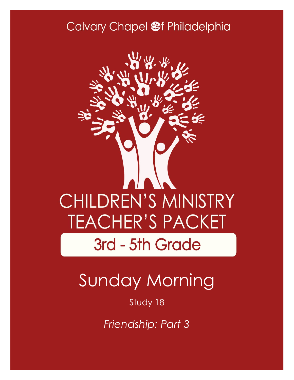## Calvary Chapel @f Philadelphia



# Sunday Morning

Study 18

*Friendship: Part 3*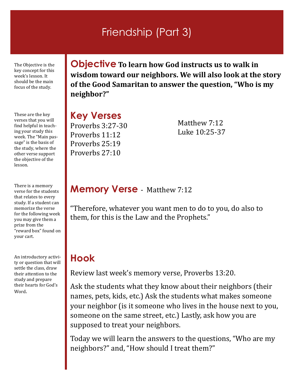## Friendship (Part 3)

The Objective is the key concept for this week's lesson. It should be the main focus of the study.

These are the key verses that you will find helpful in teaching your study this week. The "Main passage" is the basis of the study, where the other verse support the objective of the lesson.

There is a memory verse for the students that relates to every study. If a student can memorize the verse for the following week you may give them a prize from the "reward box" found on your cart.

An introductory activity or question that will settle the class, draw their attention to the study and prepare their hearts for God's Word.

**Objective To learn how God instructs us to walk in wisdom toward our neighbors. We will also look at the story of the Good Samaritan to answer the question, "Who is my neighbor?"**

**Key Verses** Proverbs 3:27-30 Proverbs 11:12 Proverbs 25:19 Proverbs 27:10

Matthew 7:12 Luke 10:25-37

### **Memory Verse** - Matthew 7:12

"Therefore, whatever you want men to do to you, do also to them, for this is the Law and the Prophets."

### **Hook**

Review last week's memory verse, Proverbs 13:20.

Ask the students what they know about their neighbors (their names, pets, kids, etc.) Ask the students what makes someone your neighbor (is it someone who lives in the house next to you, someone on the same street, etc.) Lastly, ask how you are supposed to treat your neighbors.

Today we will learn the answers to the questions, "Who are my neighbors?" and, "How should I treat them?"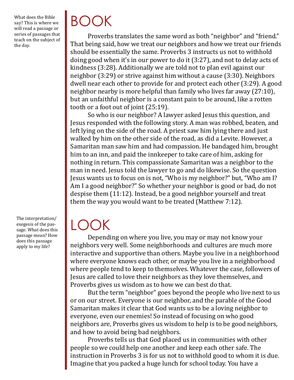What does the Bible say? This is where we will read a passage or series of passages that teach on the subject of the day.

The interpretation/ exegesis of the passage. What does this passage mean? How does this passage apply to my life?

# BOOK

Proverbs translates the same word as both "neighbor" and "friend." That being said, how we treat our neighbors and how we treat our friends should be essentially the same. Proverbs 3 instructs us not to withhold doing good when it's in our power to do it (3:27), and not to delay acts of kindness (3:28). Additionally we are told not to plan evil against our neighbor (3:29) or strive against him without a cause (3:30). Neighbors dwell near each other to provide for and protect each other (3:29). A good neighbor nearby is more helpful than family who lives far away (27:10), but an unfaithful neighbor is a constant pain to be around, like a rotten tooth or a foot out of joint (25:19).

So who is our neighbor? A lawyer asked Jesus this question, and Jesus responded with the following story. A man was robbed, beaten, and left lying on the side of the road. A priest saw him lying there and just walked by him on the other side of the road, as did a Levite. However, a Samaritan man saw him and had compassion. He bandaged him, brought him to an inn, and paid the innkeeper to take care of him, asking for nothing in return. This compassionate Samaritan was a neighbor to the man in need. Jesus told the lawyer to go and do likewise. So the question Jesus wants us to focus on is not, "Who is my neighbor?" but, "Who am I? Am I a good neighbor?" So whether your neighbor is good or bad, do not despise them (11:12). Instead, be a good neighbor yourself and treat them the way you would want to be treated (Matthew 7:12).

## LOOK

Depending on where you live, you may or may not know your neighbors very well. Some neighborhoods and cultures are much more interactive and supportive than others. Maybe you live in a neighborhood where everyone knows each other, or maybe you live in a neighborhood where people tend to keep to themselves. Whatever the case, followers of Jesus are called to love their neighbors as they love themselves, and Proverbs gives us wisdom as to how we can best do that.

But the term "neighbor" goes beyond the people who live next to us or on our street. Everyone is our neighbor, and the parable of the Good Samaritan makes it clear that God wants us to be a loving neighbor to everyone, even our enemies! So instead of focusing on who good neighbors are, Proverbs gives us wisdom to help is to be good neighbors, and how to avoid being bad neighbors.

Proverbs tells us that God placed us in communities with other people so we could help one another and keep each other safe. The instruction in Proverbs 3 is for us not to withhold good to whom it is due. Imagine that you packed a huge lunch for school today. You have a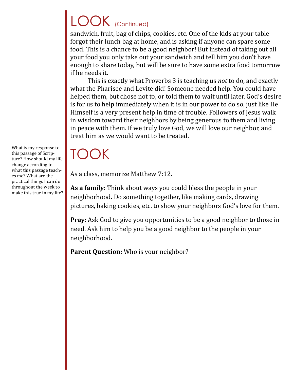# LOOK (Continued)

sandwich, fruit, bag of chips, cookies, etc. One of the kids at your table forgot their lunch bag at home, and is asking if anyone can spare some food. This is a chance to be a good neighbor! But instead of taking out all your food you only take out your sandwich and tell him you don't have enough to share today, but will be sure to have some extra food tomorrow if he needs it.

This is exactly what Proverbs 3 is teaching us *not* to do, and exactly what the Pharisee and Levite did! Someone needed help. You could have helped them, but chose not to, or told them to wait until later. God's desire is for us to help immediately when it is in our power to do so, just like He Himself is a very present help in time of trouble. Followers of Jesus walk in wisdom toward their neighbors by being generous to them and living in peace with them. If we truly love God, we will love our neighbor, and treat him as we would want to be treated.

## TOOK

As a class, memorize Matthew 7:12.

**As a family**: Think about ways you could bless the people in your neighborhood. Do something together, like making cards, drawing pictures, baking cookies, etc. to show your neighbors God's love for them.

**Pray:** Ask God to give you opportunities to be a good neighbor to those in need. Ask him to help you be a good neighbor to the people in your neighborhood.

**Parent Question:** Who is your neighbor?

What is my response to this passage of Scripture? How should my life change according to what this passage teaches me? What are the practical things I can do throughout the week to make this true in my life?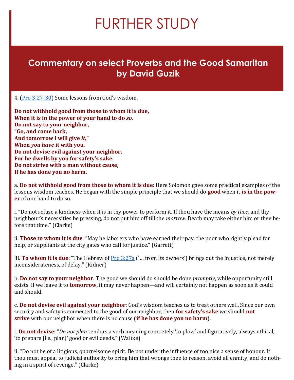## FURTHER STUDY

### **Commentary on select Proverbs and the Good Samaritan by David Guzik**

4. [\(Pro 3:27](https://www.blueletterbible.org/kjv/proverbs/3/27-30/s_631027)-30) Some lessons from God's wisdom.

**Do not withhold good from those to whom it is due, When it is in the power of your hand to do** *so.* **Do not say to your neighbor, "Go, and come back, And tomorrow I will give** *it,***" When** *you have* **it with you. Do not devise evil against your neighbor, For he dwells by you for safety's sake. Do not strive with a man without cause, If he has done you no harm.**

a. **Do not withhold good from those to whom it is due**: Here Solomon gave some practical examples of the lessons wisdom teaches. He began with the simple principle that we should do **good** when it **is in the power** of our hand to do so.

i. "Do not refuse a kindness when it is in thy power to perform it. If thou have the means *by thee*, and thy neighbour's necessities be pressing, do not put him off till the *morrow*. Death may take either him or thee before that time." (Clarke)

ii. **Those to whom it is due**: "May be laborers who have earned their pay, the poor who rightly plead for help, or suppliants at the city gates who call for justice." (Garrett)

iii. **To whom it is due**: "The Hebrew of **[Pro 3:27a](https://www.blueletterbible.org/kjv/proverbs/3/27/s_631027)** ('... from its owners') brings out the injustice, not merely inconsiderateness, of delay." (Kidner)

b. **Do not say to your neighbor**: The good we should do should be done *promptly*, while opportunity still exists. If we leave it to **tomorrow**, it may never happen—and will certainly not happen as soon as it could and should.

c. **Do not devise evil against your neighbor**: God's wisdom teaches us to treat others well. Since our own security and safety is connected to the good of our neighbor, then **for safety's sake** we should **not strive** with our neighbor when there is no cause (**if he has done you no harm**).

i. **Do not devise**: "*Do not plan* renders a verb meaning concretely 'to plow' and figuratively, always ethical, 'to prepare [i.e., plan]' good or evil deeds." (Waltke)

ii. "Do not be of a litigious, quarrelsome spirit. Be not under the influence of too nice a sense of honour. If thou must appeal to judicial authority to bring him that wrongs thee to reason, avoid all enmity, and do nothing in a spirit of revenge." (Clarke)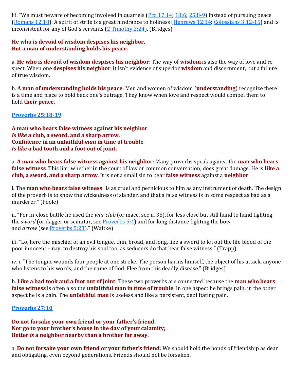iii. "We must beware of becoming involved in quarrels  $(Pro\ 17:14; 18:6; 25:8-9)$  $(Pro\ 17:14; 18:6; 25:8-9)$  $(Pro\ 17:14; 18:6; 25:8-9)$  $(Pro\ 17:14; 18:6; 25:8-9)$  $(Pro\ 17:14; 18:6; 25:8-9)$  instead of pursuing peace [\(Romans 12:18\)](https://www.blueletterbible.org/kjv/romans/12/18/s_1058018). A spirit of strife is a great hindrance to holiness ([Hebrews 12:14;](https://www.blueletterbible.org/kjv/hebrews/12/14/s_1145014) [Colossians 3:12](https://www.blueletterbible.org/kjv/colossians/3/12-15/s_1110012)-15) and is inconsistent for any of God's servants [\(2 Timothy 2:24\)](https://www.blueletterbible.org/kjv/2timothy/2/24/s_1127024). (Bridges)

#### **He who is devoid of wisdom despises his neighbor, But a man of understanding holds his peace.**

a. **He who is devoid of wisdom despises his neighbor**: The way of **wisdom** is also the way of love and respect. When one **despises his neighbor**, it isn't evidence of superior **wisdom** and discernment, but a failure of true wisdom.

b. **A man of understanding holds his peace**: Men and women of wisdom (**understanding**) recognize there is a time and place to hold back one's outrage. They know when love and respect would compel them to hold **their peace**.

**[Proverbs 25:18](https://www.blueletterbible.org/kjv/proverbs/25/18-19/s_653018)-19**

**A man who bears false witness against his neighbor** *Is like* **a club, a sword, and a sharp arrow. Confidence in an unfaithful** *man* **in time of trouble** *Is like* **a bad tooth and a foot out of joint.**

a. **A man who bears false witness against his neighbor**: Many proverbs speak against the **man who bears false witness**. This liar, whether in the court of law or common conversation, does great damage. He is **like a club, a sword, and a sharp arrow**. It is not a small sin to bear **false witness** against a **neighbor**.

i. The **man who bears false witness** "Is as cruel and pernicious to him as any instrument of death. The design of the proverb is to show the wickedness of slander, and that a false witness is in some respect as bad as a murderer." (Poole)

ii. "For in-close battle he used the *war club* (or mace, see n. 35), for less close but still hand to hand fighting the *sword* (or dagger or scimitar, see [Proverbs 5:4\)](https://www.blueletterbible.org/kjv/proverbs/5/4/s_633004) and for long distance fighting the bow and *arrow* (see [Proverbs 5:23\)](https://www.blueletterbible.org/kjv/proverbs/5/23/s_633023)." (Waltke)

iii. "Lo, here the mischief of an evil tongue, thin, broad, and long, like a sword to let out the life blood of the poor innocent – nay, to destroy his soul too, as seducers do that bear false witness." (Trapp)

iv. i. "The tongue wounds four people at one stroke. The person harms himself, the object of his attack, anyone who listens to his words, and the name of God. Flee from this deadly disease." (Bridges)

b. **Like a bad took and a foot out of joint**: These two proverbs are connected because the **man who bears false witness** is often also the **unfaithful man in time of trouble**. In one aspect he brings pain, in the other aspect he is a pain. The **unfaithful man** is useless and like a persistent, debilitating pain.

#### **[Proverbs 27:10](https://www.blueletterbible.org/kjv/proverbs/27/10/s_655010)**

**Do not forsake your own friend or your father's friend, Nor go to your brother's house in the day of your calamity; Better** *is* **a neighbor nearby than a brother far away.**

a. **Do not forsake your own friend or your father's friend**: We should hold the bonds of friendship as dear and obligating, even beyond generations. Friends should not be forsaken.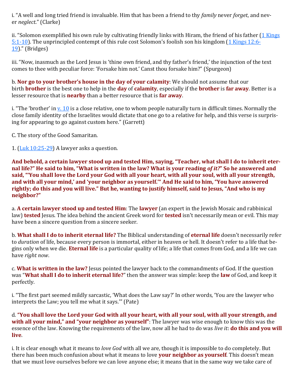i. "A well and long tried friend is invaluable. Him that has been a friend to thy *family* never *forget*, and never *neglect*." (Clarke)

ii. "Solomon exemplified his own rule by cultivating friendly links with Hiram, the friend of his father (1 Kings 5:1-[10\).](https://www.blueletterbible.org/kjv/1kings/5/1-10/s_296001) The unprincipled contempt of this rule cost Solomon's foolish son his kingdom ([1 Kings 12:6](https://www.blueletterbible.org/kjv/1kings/12/6-19/s_303006)- [19\)](https://www.blueletterbible.org/kjv/1kings/12/6-19/s_303006)." (Bridges)

iii. "Now, inasmuch as the Lord Jesus is 'thine own friend, and thy father's friend,' the injunction of the text comes to thee with peculiar force: 'Forsake him not.' Canst thou forsake him?" (Spurgeon)

b. **Nor go to your brother's house in the day of your calamity**: We should not assume that our birth **brother** is the best one to help in the **day** of **calamity**, especially if the **brother** is **far away**. Better is a lesser resource that is **nearby** than a better resource that is **far away**.

i. "The 'brother' in  $\bf{v}$ . 10 is a close relative, one to whom people naturally turn in difficult times. Normally the close family identity of the Israelites would dictate that one go to a relative for help, and this verse is surprising for appearing to go against custom here." (Garrett)

C. The story of the Good Samaritan.

1. ([Luk 10:25](https://www.blueletterbible.org/kjv/luke/10/25-29/s_983025)-29) A lawyer asks a question.

**And behold, a certain lawyer stood up and tested Him, saying, "Teacher, what shall I do to inherit eternal life?" He said to him, "What is written in the law? What is your reading** *of it?***" So he answered and said, "'You shall love the Lord your God with all your heart, with all your soul, with all your strength, and with all your mind,' and 'your neighbor as yourself.'" And He said to him, "You have answered rightly; do this and you will live." But he, wanting to justify himself, said to Jesus, "And who is my neighbor?"**

a. **A certain lawyer stood up and tested Him**: The **lawyer** (an expert in the Jewish Mosaic and rabbinical law) **tested** Jesus. The idea behind the ancient Greek word for **tested** isn't necessarily mean or evil. This may have been a sincere question from a sincere seeker.

b. **What shall I do to inherit eternal life?** The Biblical understanding of **eternal life** doesn't necessarily refer to *duration* of life, because every person is immortal, either in heaven or hell. It doesn't refer to a life that begins only when we die. **Eternal life** is a particular quality of life; a life that comes from God, and a life we can have *right now*.

c. **What is written in the law?** Jesus pointed the lawyer back to the commandments of God. If the question was "**What shall I do to inherit eternal life?**" then the answer was simple: keep the **law** of God, and keep it perfectly.

i. "The first part seemed mildly sarcastic, 'What does the Law say?' In other words, 'You are the lawyer who interprets the Law; you tell me what it says.'" (Pate)

d. **"You shall love the Lord your God with all your heart, with all your soul, with all your strength, and with all your mind," and "your neighbor as yourself"**: The lawyer was wise enough to know this was the essence of the law. Knowing the requirements of the law, now all he had to do was *live it*: **do this and you will live**.

i. It is clear enough what it means to *love God* with all we are, though it is impossible to do completely. But there has been much confusion about what it means to love **your neighbor as yourself**. This doesn't mean that we must love ourselves before we can love anyone else; it means that in the same way we take care of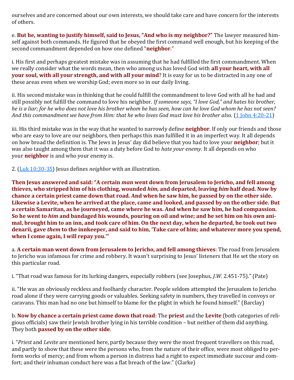ourselves and are concerned about our own interests, we should take care and have concern for the interests of others.

e. **But he, wanting to justify himself, said to Jesus, "And who is my neighbor?"** The lawyer measured himself against both commands. He figured that he obeyed the first command well enough, but his keeping of the second commandment depended on how one defined "**neighbor**."

i. His first and perhaps greatest mistake was in assuming that he had fulfilled the first commandment. When we really consider what the words mean, then who among us has loved God with **all your heart, with all your soul, with all your strength, and with all your mind**? It is easy for us to be distracted in any one of these areas even when we worship God; even more so in our daily living.

ii. His second mistake was in thinking that he could fulfill the commandment to love God with all he had and still possibly not fulfill the command to love his neighbor. *If someone says, "I love God," and hates his brother, he is a liar; for he who does not love his brother whom he has seen, how can he love God whom he has not seen?*  And this commandment we have from Him: that he who loves God must love his brother also. [\(1 John 4:20](https://www.blueletterbible.org/kjv/1john/4/20-21/s_1163020)-21)

iii. His third mistake was in the way that he wanted to narrowly define **neighbor**. If only our friends and those who are easy to love are our neighbors, then perhaps this man fulfilled it in an imperfect way. It all depends on how broad the definition is. The Jews in Jesus' day did believe that you had to love your **neighbor**; but it was also taught among them that it was a duty before God to *hate your enemy*. It all depends on who your **neighbor** is and who your enemy is.

2. ([Luk 10:30](https://www.blueletterbible.org/kjv/luke/10/30-35/s_983030)-35) Jesus defines *neighbor* with an illustration.

**Then Jesus answered and said: "A certain** *man* **went down from Jerusalem to Jericho, and fell among thieves, who stripped him of his clothing, wounded** *him,* **and departed, leaving** *him* **half dead. Now by chance a certain priest came down that road. And when he saw him, he passed by on the other side. Likewise a Levite, when he arrived at the place, came and looked, and passed by on the other side. But a certain Samaritan, as he journeyed, came where he was. And when he saw him, he had compassion. So he went to** *him* **and bandaged his wounds, pouring on oil and wine; and he set him on his own animal, brought him to an inn, and took care of him. On the next day, when he departed, he took out two denarii, gave** *them* **to the innkeeper, and said to him, 'Take care of him; and whatever more you spend, when I come again, I will repay you.'"**

a. **A certain man went down from Jerusalem to Jericho, and fell among thieves**: The road from Jerusalem to Jericho was infamous for crime and robbery. It wasn't surprising to Jesus' listeners that He set the story on this particular road.

i. "That road was famous for its lurking dangers, especially robbers (see Josephus, *J.W.* 2.451-75)." (Pate)

ii. "He was an obviously reckless and foolhardy character. People seldom attempted the Jerusalem to Jericho road alone if they were carrying goods or valuables. Seeking safety in numbers, they travelled in convoys or caravans. This man had no one but himself to blame for the plight in which he found himself." (Barclay)

b. **Now by chance a certain priest came down that road**: The **priest** and the **Levite** (both categories of religious officials) saw their Jewish brother lying in his terrible condition – but neither of them did anything. They both **passed by on the other side**.

i. "*Priest* and *Levite* are mentioned here, partly because they were the most frequent travellers on this road, and partly to show that these were the persons who, from the nature of their office, were most obliged to perform works of mercy; and from whom a person in distress had a right to expect immediate succour and comfort; and their inhuman conduct here was a flat breach of the law." (Clarke)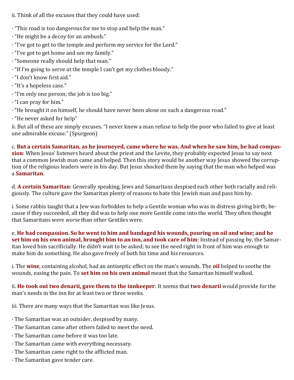ii. Think of all the excuses that they could have used:

- · "This road is too dangerous for me to stop and help the man."
- · "He might be a decoy for an ambush."
- · "I've got to get to the temple and perform my service for the Lord."
- · "I've got to get home and see my family."
- · "Someone really should help that man."
- · "If I'm going to serve at the temple I can't get my clothes bloody."
- · "I don't know first aid."
- · "It's a hopeless case."
- · "I'm only one person; the job is too big."
- · "I can pray for him."
- · "He brought it on himself, he should have never been alone on such a dangerous road."
- · "He never asked for help"

ii. But all of these are simply excuses. "I never knew a man refuse to help the poor who failed to give at least one admirable excuse." (Spurgeon)

#### c. **But a certain Samaritan, as he journeyed, came where he was. And when he saw him, he had compas-**

**sion**: When Jesus' listeners heard about the priest and the Levite, they probably expected Jesus to say next that a common Jewish man came and helped. Then this story would be another way Jesus showed the corruption of the religious leaders were in his day. But Jesus shocked them by saying that the man who helped was a **Samaritan**.

d. **A certain Samaritan**: Generally speaking, Jews and Samaritans despised each other both racially and religiously. The culture gave the Samaritan plenty of reasons to hate this Jewish man and pass him by.

i. Some rabbis taught that a Jew was forbidden to help a Gentile woman who was in distress giving birth; because if they succeeded, all they did was to help one more Gentile come into the world. They often thought that Samaritans were *worse* than other Gentiles were.

e. **He had compassion. So he went to him and bandaged his wounds, pouring on oil and wine; and he set him on his own animal, brought him to an inn, and took care of him**: Instead of passing by, the Samaritan loved him sacrificially. He didn't wait to be asked; to see the need right in front of him was enough to make him do something. He also gave freely of both his time and his resources.

i. The **wine**, containing alcohol, had an antiseptic effect on the man's wounds. The **oil** helped to soothe the wounds, easing the pain. To **set him on his own animal** meant that the Samaritan himself walked.

ii. **He took out two denarii, gave them to the innkeeper**: It seems that **two denarii** would provide for the man's needs in the inn for at least two or three weeks.

iii. There are many ways that the Samaritan was like Jesus.

- · The Samaritan was an outsider, despised by many.
- · The Samaritan came after others failed to meet the need.
- · The Samaritan came before it was too late.
- · The Samaritan came with everything necessary.
- · The Samaritan came right to the afflicted man.
- · The Samaritan gave tender care.